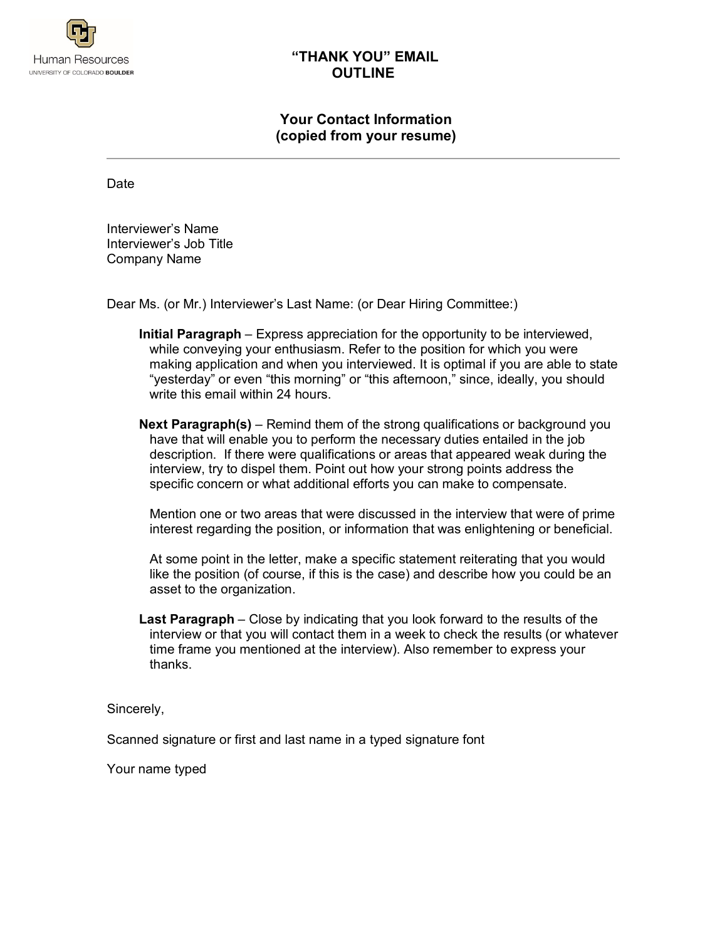

## **"THANK YOU" EMAIL OUTLINE**

# **Your Contact Information (copied from your resume)**

Date

Interviewer's Name Interviewer's Job Title Company Name

Dear Ms. (or Mr.) Interviewer's Last Name: (or Dear Hiring Committee:)

- **Initial Paragraph** Express appreciation for the opportunity to be interviewed, while conveying your enthusiasm. Refer to the position for which you were making application and when you interviewed. It is optimal if you are able to state "yesterday" or even "this morning" or "this afternoon," since, ideally, you should write this email within 24 hours.
- **Next Paragraph(s)** Remind them of the strong qualifications or background you have that will enable you to perform the necessary duties entailed in the job description. If there were qualifications or areas that appeared weak during the interview, try to dispel them. Point out how your strong points address the specific concern or what additional efforts you can make to compensate.

Mention one or two areas that were discussed in the interview that were of prime interest regarding the position, or information that was enlightening or beneficial.

At some point in the letter, make a specific statement reiterating that you would like the position (of course, if this is the case) and describe how you could be an asset to the organization.

**Last Paragraph** – Close by indicating that you look forward to the results of the interview or that you will contact them in a week to check the results (or whatever time frame you mentioned at the interview). Also remember to express your thanks.

Sincerely,

Scanned signature or first and last name in a typed signature font

Your name typed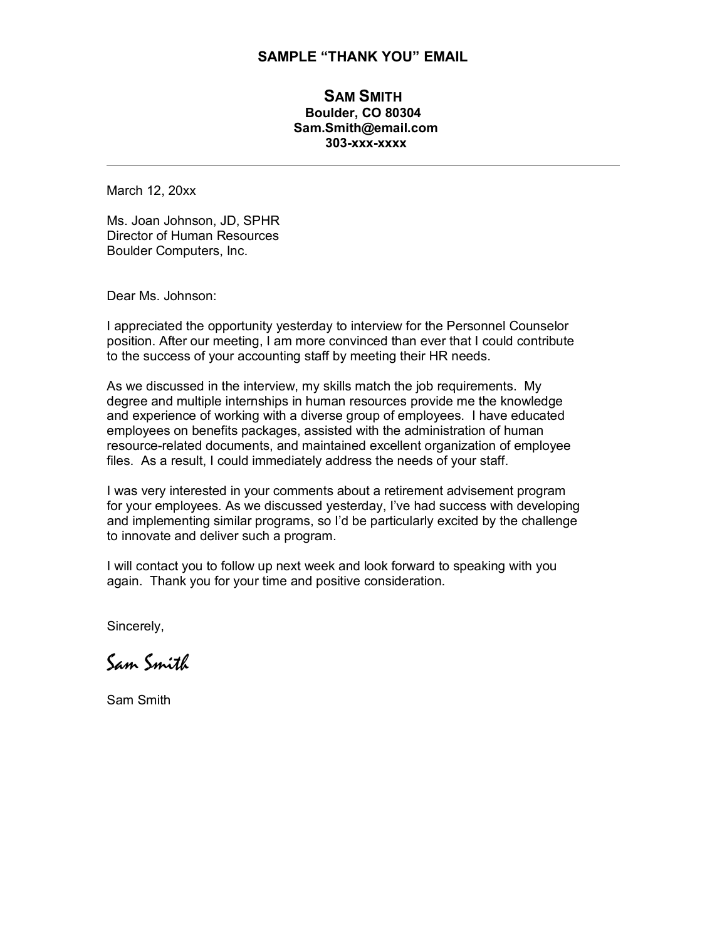#### **SAMPLE "THANK YOU" EMAIL**

### **SAM SMITH Boulder, CO 80304 Sam.Smith@email.com 303-xxx-xxxx**

March 12, 20xx

Ms. Joan Johnson, JD, SPHR Director of Human Resources Boulder Computers, Inc.

Dear Ms. Johnson:

I appreciated the opportunity yesterday to interview for the Personnel Counselor position. After our meeting, I am more convinced than ever that I could contribute to the success of your accounting staff by meeting their HR needs.

As we discussed in the interview, my skills match the job requirements. My degree and multiple internships in human resources provide me the knowledge and experience of working with a diverse group of employees. I have educated employees on benefits packages, assisted with the administration of human resource-related documents, and maintained excellent organization of employee files. As a result, I could immediately address the needs of your staff.

I was very interested in your comments about a retirement advisement program for your employees. As we discussed yesterday, I've had success with developing and implementing similar programs, so I'd be particularly excited by the challenge to innovate and deliver such a program.

I will contact you to follow up next week and look forward to speaking with you again. Thank you for your time and positive consideration.

Sincerely,

Sam Smith

Sam Smith